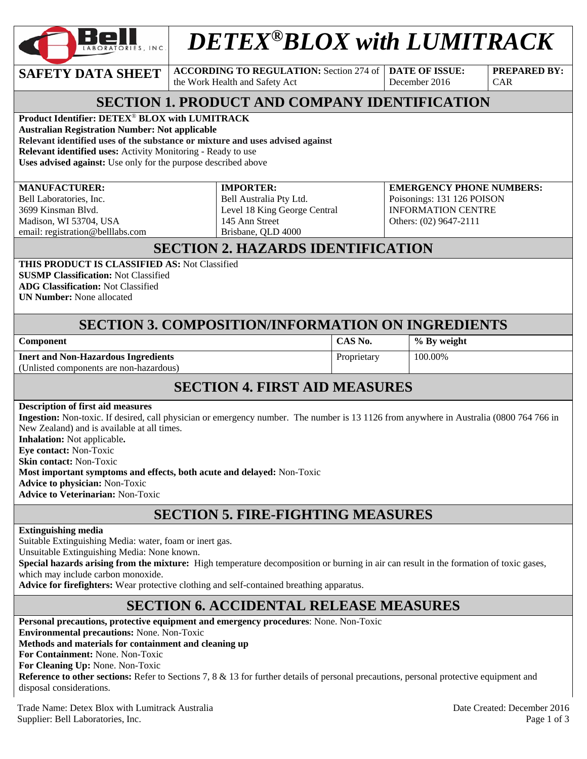

# *DETEX®BLOX with LUMITRACK*

**SAFETY DATA SHEET**  $\begin{bmatrix} \text{ACCORDING TO REGULATION: Section 274 of } \end{bmatrix}$  **DATE OF ISSUE:** 

the Work Health and Safety Act

December 2016

**PREPARED BY:**  CAR

# **SECTION 1. PRODUCT AND COMPANY IDENTIFICATION**

**Product Identifier: DETEX**® **BLOX with LUMITRACK** 

**Australian Registration Number: Not applicable** 

**Relevant identified uses of the substance or mixture and uses advised against**

**Relevant identified uses:** Activity Monitoring - Ready to use

**Uses advised against:** Use only for the purpose described above

#### **MANUFACTURER:**

Bell Laboratories, Inc. 3699 Kinsman Blvd. Madison, WI 53704, USA email: registration@belllabs.com **IMPORTER:**  Bell Australia Pty Ltd. Level 18 King George Central 145 Ann Street Brisbane, QLD 4000

**EMERGENCY PHONE NUMBERS:**  Poisonings: 131 126 POISON INFORMATION CENTRE Others: (02) 9647-2111

# **SECTION 2. HAZARDS IDENTIFICATION**

**THIS PRODUCT IS CLASSIFIED AS:** Not Classified

**SUSMP Classification:** Not Classified **ADG Classification:** Not Classified

**UN Number:** None allocated

## **SECTION 3. COMPOSITION/INFORMATION ON INGREDIENTS**

**Component CAS No. % By weight** 

Proprietary 100.00%

**Inert and Non-Hazardous Ingredients**  (Unlisted components are non-hazardous)

# **SECTION 4. FIRST AID MEASURES**

**Description of first aid measures** 

**Ingestion:** Non-toxic. If desired, call physician or emergency number. The number is 13 1126 from anywhere in Australia (0800 764 766 in New Zealand) and is available at all times.

**Inhalation:** Not applicable**. Eye contact:** Non-Toxic

**Skin contact:** Non-Toxic

**Most important symptoms and effects, both acute and delayed:** Non-Toxic

**Advice to physician:** Non-Toxic

**Advice to Veterinarian:** Non-Toxic

# **SECTION 5. FIRE-FIGHTING MEASURES**

#### **Extinguishing media**

Suitable Extinguishing Media: water, foam or inert gas.

Unsuitable Extinguishing Media: None known.

**Special hazards arising from the mixture:** High temperature decomposition or burning in air can result in the formation of toxic gases, which may include carbon monoxide.

**Advice for firefighters:** Wear protective clothing and self-contained breathing apparatus.

## **SECTION 6. ACCIDENTAL RELEASE MEASURES**

**Personal precautions, protective equipment and emergency procedures**: None. Non-Toxic **Environmental precautions:** None. Non-Toxic **Methods and materials for containment and cleaning up For Containment:** None. Non-Toxic **For Cleaning Up:** None. Non-Toxic **Reference to other sections:** Refer to Sections 7, 8 & 13 for further details of personal precautions, personal protective equipment and disposal considerations.

Trade Name: Detex Blox with Lumitrack Australia and the contract of the created: December 2016 Supplier: Bell Laboratories, Inc. Page 1 of 3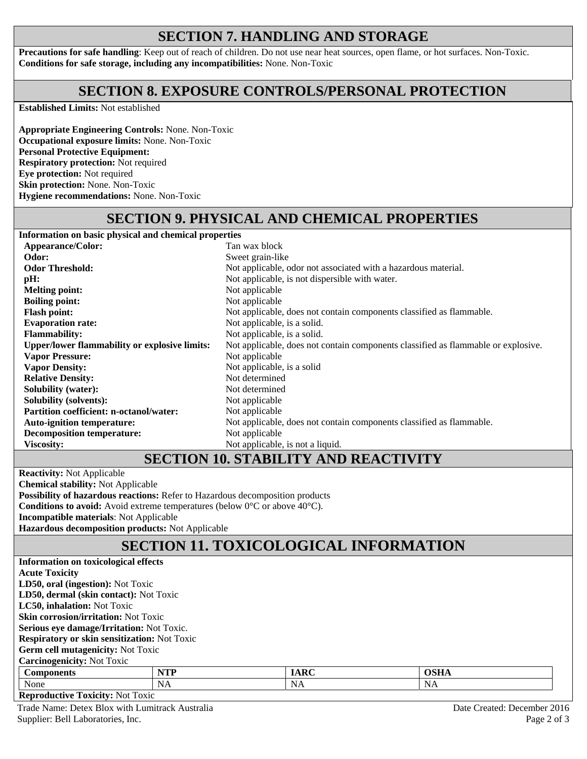## **SECTION 7. HANDLING AND STORAGE**

**Precautions for safe handling**: Keep out of reach of children. Do not use near heat sources, open flame, or hot surfaces. Non-Toxic. **Conditions for safe storage, including any incompatibilities:** None. Non-Toxic

#### **SECTION 8. EXPOSURE CONTROLS/PERSONAL PROTECTION**

**Established Limits:** Not established

**Appropriate Engineering Controls:** None. Non-Toxic **Occupational exposure limits:** None. Non-Toxic **Personal Protective Equipment: Respiratory protection:** Not required **Eye protection:** Not required **Skin protection:** None. Non-Toxic **Hygiene recommendations:** None. Non-Toxic

# **SECTION 9. PHYSICAL AND CHEMICAL PROPERTIES**

**Information on basic physical and chemical properties Appearance/Color:** Tan wax block<br> **Odor:** Sweet grain-lik Sweet grain-like **Odor Threshold: Not** applicable, odor not associated with a hazardous material. **pH:** Not applicable, is not dispersible with water. **Melting point:** Not applicable **Boiling point:** Not applicable **Flash point: Flash point:** Not applicable, does not contain components classified as flammable.<br> **Evaporation rate:** Not applicable, is a solid. Not applicable, is a solid. **Flammability:** Not applicable, is a solid. **Upper/lower flammability or explosive limits:** Not applicable, does not contain components classified as flammable or explosive. **Vapor Pressure: Vapor Density:**  Not applicable Not applicable, is a solid **Relative Density:** Not determined **Solubility (water):** Not determined **Solubility (solvents):** Not applicable **Partition coefficient: n-octanol/water:** Not applicable **Auto-ignition temperature:** Not applicable, does not contain components classified as flammable. **Decomposition temperature:** Not applicable **Viscosity:** Not applicable, is not a liquid.

#### **SECTION 10. STABILITY AND REACTIVITY**

**Reactivity:** Not Applicable **Chemical stability:** Not Applicable

**Possibility of hazardous reactions:** Refer to Hazardous decomposition products

**Conditions to avoid:** Avoid extreme temperatures (below 0°C or above 40°C).

**Incompatible materials**: Not Applicable

**Hazardous decomposition products:** Not Applicable

# **SECTION 11. TOXICOLOGICAL INFORMATION**

| Information on toxicological effects                |            |             |             |  |  |  |  |
|-----------------------------------------------------|------------|-------------|-------------|--|--|--|--|
| <b>Acute Toxicity</b>                               |            |             |             |  |  |  |  |
| LD50, oral (ingestion): Not Toxic                   |            |             |             |  |  |  |  |
| LD50, dermal (skin contact): Not Toxic              |            |             |             |  |  |  |  |
| <b>LC50, inhalation:</b> Not Toxic                  |            |             |             |  |  |  |  |
| <b>Skin corrosion/irritation:</b> Not Toxic         |            |             |             |  |  |  |  |
| Serious eye damage/Irritation: Not Toxic.           |            |             |             |  |  |  |  |
| <b>Respiratory or skin sensitization: Not Toxic</b> |            |             |             |  |  |  |  |
| <b>Germ cell mutagenicity: Not Toxic</b>            |            |             |             |  |  |  |  |
| <b>Carcinogenicity: Not Toxic</b>                   |            |             |             |  |  |  |  |
| <b>Components</b>                                   | <b>NTP</b> | <b>IARC</b> | <b>OSHA</b> |  |  |  |  |
| None                                                | <b>NA</b>  | NA          | NA          |  |  |  |  |
| <b>Reproductive Toxicity: Not Toxic</b>             |            |             |             |  |  |  |  |

Trade Name: Detex Blox with Lumitrack Australia and the contract of the Created: December 2016 Supplier: Bell Laboratories, Inc. Page 2 of 3